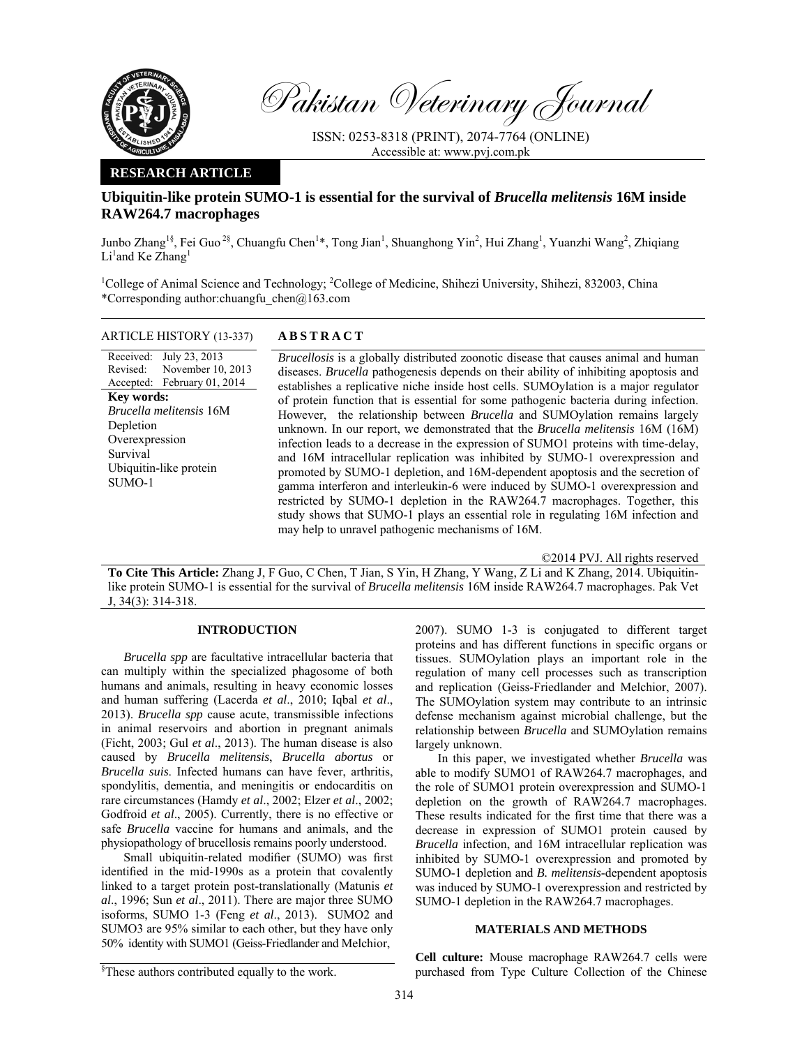

Pakistan Veterinary Journal

ISSN: 0253-8318 (PRINT), 2074-7764 (ONLINE) Accessible at: www.pvj.com.pk

### **RESEARCH ARTICLE**

# **Ubiquitin-like protein SUMO-1 is essential for the survival of** *Brucella melitensis* **16M inside RAW264.7 macrophages**

Junbo Zhang<sup>1§</sup>, Fei Guo<sup>2§</sup>, Chuangfu Chen<sup>1</sup>\*, Tong Jian<sup>1</sup>, Shuanghong Yin<sup>2</sup>, Hui Zhang<sup>1</sup>, Yuanzhi Wang<sup>2</sup>, Zhiqiang  $Li<sup>1</sup>$  and Ke Zhang<sup>1</sup>

<sup>1</sup>College of Animal Science and Technology; <sup>2</sup>College of Medicine, Shihezi University, Shihezi, 832003, China \*Corresponding author:chuangfu\_chen@163.com

| ARTICLE HISTORY (13-337) |  |
|--------------------------|--|
|--------------------------|--|

Received: Revised: Accepted: July 23, 2013 November 10, 2013 February 01, 2014 **Key words:**  *Brucella melitensis* 16M Depletion **Overexpression** Survival Ubiquitin-like protein SUMO-1

### ARTICLE HISTORY (13-337) **ABSTRACT**

*Brucellosis* is a globally distributed zoonotic disease that causes animal and human diseases. *Brucella* pathogenesis depends on their ability of inhibiting apoptosis and establishes a replicative niche inside host cells. SUMOylation is a major regulator of protein function that is essential for some pathogenic bacteria during infection. However, the relationship between *Brucella* and SUMOylation remains largely unknown. In our report, we demonstrated that the *Brucella melitensis* 16M (16M) infection leads to a decrease in the expression of SUMO1 proteins with time-delay, and 16M intracellular replication was inhibited by SUMO-1 overexpression and promoted by SUMO-1 depletion, and 16M-dependent apoptosis and the secretion of gamma interferon and interleukin-6 were induced by SUMO-1 overexpression and restricted by SUMO-1 depletion in the RAW264.7 macrophages. Together, this study shows that SUMO-1 plays an essential role in regulating 16M infection and may help to unravel pathogenic mechanisms of 16M.

©2014 PVJ. All rights reserved

**To Cite This Article:** Zhang J, F Guo, C Chen, T Jian, S Yin, H Zhang, Y Wang, Z Li and K Zhang, 2014. Ubiquitinlike protein SUMO-1 is essential for the survival of *Brucella melitensis* 16M inside RAW264.7 macrophages. Pak Vet J, 34(3): 314-318.

## **INTRODUCTION**

*Brucella spp* are facultative intracellular bacteria that can multiply within the specialized phagosome of both humans and animals, resulting in heavy economic losses and human suffering (Lacerda *et al*., 2010; Iqbal *et al*., 2013). *Brucella spp* cause acute, transmissible infections in animal reservoirs and abortion in pregnant animals (Ficht, 2003; Gul *et al*., 2013). The human disease is also caused by *Brucella melitensis*, *Brucella abortus* or *Brucella suis*. Infected humans can have fever, arthritis, spondylitis, dementia, and meningitis or endocarditis on rare circumstances (Hamdy *et al*., 2002; Elzer *et al*., 2002; Godfroid *et al*., 2005). Currently, there is no effective or safe *Brucella* vaccine for humans and animals, and the physiopathology of brucellosis remains poorly understood.

Small ubiquitin-related modifier (SUMO) was first identified in the mid-1990s as a protein that covalently linked to a target protein post-translationally (Matunis *et al*., 1996; Sun *et al*., 2011). There are major three SUMO isoforms, SUMO 1-3 (Feng *et al*., 2013). SUMO2 and SUMO3 are 95% similar to each other, but they have only 50% identity with SUMO1 (Geiss-Friedlander and Melchior,

2007). SUMO 1-3 is conjugated to different target proteins and has different functions in specific organs or tissues. SUMOylation plays an important role in the regulation of many cell processes such as transcription and replication (Geiss-Friedlander and Melchior, 2007). The SUMOylation system may contribute to an intrinsic defense mechanism against microbial challenge, but the relationship between *Brucella* and SUMOylation remains largely unknown.

In this paper, we investigated whether *Brucella* was able to modify SUMO1 of RAW264.7 macrophages, and the role of SUMO1 protein overexpression and SUMO-1 depletion on the growth of RAW264.7 macrophages. These results indicated for the first time that there was a decrease in expression of SUMO1 protein caused by *Brucella* infection, and 16M intracellular replication was inhibited by SUMO-1 overexpression and promoted by SUMO-1 depletion and *B. melitensis*-dependent apoptosis was induced by SUMO-1 overexpression and restricted by SUMO-1 depletion in the RAW264.7 macrophages.

### **MATERIALS AND METHODS**

**Cell culture:** Mouse macrophage RAW264.7 cells were purchased from Type Culture Collection of the Chinese

<sup>§</sup> These authors contributed equally to the work.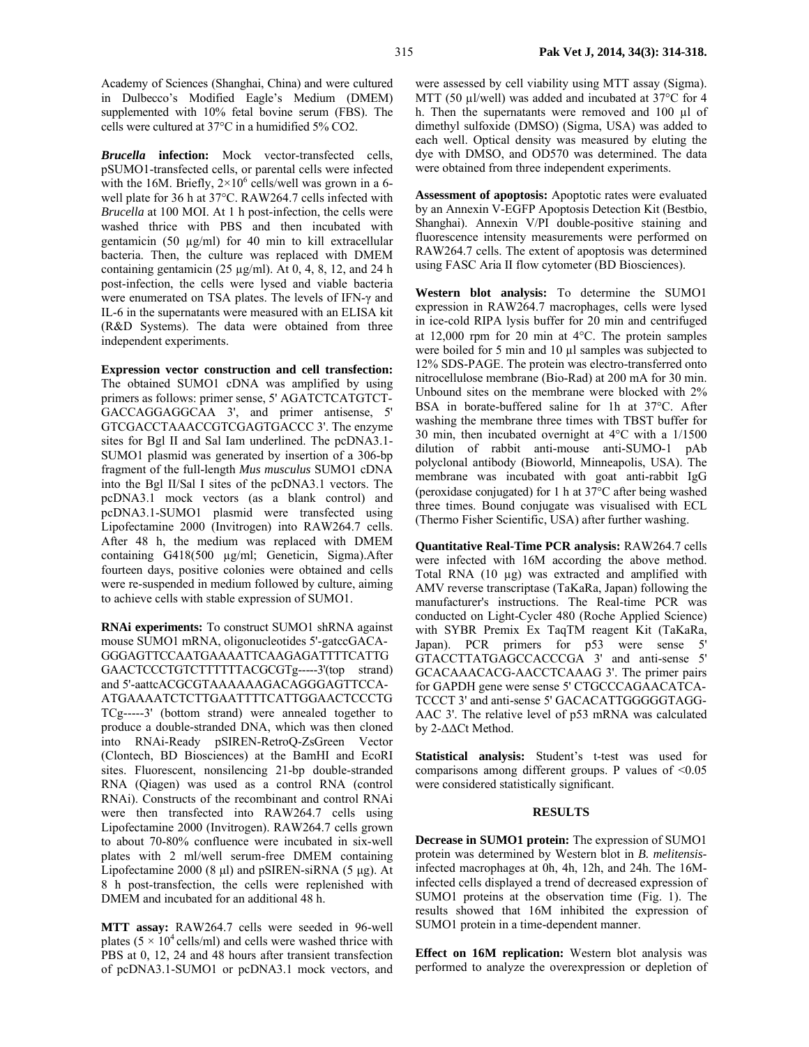Academy of Sciences (Shanghai, China) and were cultured in Dulbecco's Modified Eagle's Medium (DMEM) supplemented with 10% fetal bovine serum (FBS). The cells were cultured at 37°C in a humidified 5% CO2.

*Brucella* **infection:** Mock vector-transfected cells, pSUMO1-transfected cells, or parental cells were infected with the 16M. Briefly,  $2 \times 10^6$  cells/well was grown in a 6well plate for 36 h at 37°C. RAW264.7 cells infected with *Brucella* at 100 MOI. At 1 h post-infection, the cells were washed thrice with PBS and then incubated with gentamicin (50 µg/ml) for 40 min to kill extracellular bacteria. Then, the culture was replaced with DMEM containing gentamicin (25  $\mu$ g/ml). At 0, 4, 8, 12, and 24 h post-infection, the cells were lysed and viable bacteria were enumerated on TSA plates. The levels of IFN-γ and IL-6 in the supernatants were measured with an ELISA kit (R&D Systems). The data were obtained from three independent experiments.

**Expression vector construction and cell transfection:**  The obtained SUMO1 cDNA was amplified by using primers as follows: primer sense, 5' AGATCTCATGTCT-GACCAGGAGGCAA 3', and primer antisense, 5' GTCGACCTAAACCGTCGAGTGACCC 3'. The enzyme sites for Bgl II and Sal Iam underlined. The pcDNA3.1- SUMO1 plasmid was generated by insertion of a 306-bp fragment of the full-length *Mus musculus* SUMO1 cDNA into the Bgl II/Sal I sites of the pcDNA3.1 vectors. The pcDNA3.1 mock vectors (as a blank control) and pcDNA3.1-SUMO1 plasmid were transfected using Lipofectamine 2000 (Invitrogen) into RAW264.7 cells. After 48 h, the medium was replaced with DMEM containing G418(500 µg/ml; Geneticin, Sigma).After fourteen days, positive colonies were obtained and cells were re-suspended in medium followed by culture, aiming to achieve cells with stable expression of SUMO1.

**RNAi experiments:** To construct SUMO1 shRNA against mouse SUMO1 mRNA, oligonucleotides 5'-gatccGACA-GGGAGTTCCAATGAAAATTCAAGAGATTTTCATTG GAACTCCCTGTCTTTTTTACGCGTg-----3'(top strand) and 5'-aattcACGCGTAAAAAAGACAGGGAGTTCCA-ATGAAAATCTCTTGAATTTTCATTGGAACTCCCTG TCg-----3' (bottom strand) were annealed together to produce a double-stranded DNA, which was then cloned into RNAi-Ready pSIREN-RetroQ-ZsGreen Vector (Clontech, BD Biosciences) at the BamHI and EcoRI sites. Fluorescent, nonsilencing 21-bp double-stranded RNA (Qiagen) was used as a control RNA (control RNAi). Constructs of the recombinant and control RNAi were then transfected into RAW264.7 cells using Lipofectamine 2000 (Invitrogen). RAW264.7 cells grown to about 70-80% confluence were incubated in six-well plates with 2 ml/well serum-free DMEM containing Lipofectamine 2000 (8 µl) and pSIREN-siRNA (5 µg). At 8 h post-transfection, the cells were replenished with DMEM and incubated for an additional 48 h.

**MTT assay:** RAW264.7 cells were seeded in 96-well plates ( $5 \times 10^4$  cells/ml) and cells were washed thrice with PBS at 0, 12, 24 and 48 hours after transient transfection of pcDNA3.1-SUMO1 or pcDNA3.1 mock vectors, and

were assessed by cell viability using MTT assay (Sigma). MTT (50 µl/well) was added and incubated at 37°C for 4 h. Then the supernatants were removed and 100 µl of dimethyl sulfoxide (DMSO) (Sigma, USA) was added to each well. Optical density was measured by eluting the dye with DMSO, and OD570 was determined. The data were obtained from three independent experiments.

**Assessment of apoptosis:** Apoptotic rates were evaluated by an Annexin V-EGFP Apoptosis Detection Kit (Bestbio, Shanghai). Annexin V/PI double-positive staining and fluorescence intensity measurements were performed on RAW264.7 cells. The extent of apoptosis was determined using FASC Aria II flow cytometer (BD Biosciences).

**Western blot analysis:** To determine the SUMO1 expression in RAW264.7 macrophages, cells were lysed in ice-cold RIPA lysis buffer for 20 min and centrifuged at 12,000 rpm for 20 min at 4°C. The protein samples were boiled for 5 min and 10  $\mu$ l samples was subjected to 12% SDS-PAGE. The protein was electro-transferred onto nitrocellulose membrane (Bio-Rad) at 200 mA for 30 min. Unbound sites on the membrane were blocked with 2% BSA in borate-buffered saline for 1h at 37°C. After washing the membrane three times with TBST buffer for 30 min, then incubated overnight at 4°C with a 1/1500 dilution of rabbit anti-mouse anti-SUMO-1 pAb polyclonal antibody (Bioworld, Minneapolis, USA). The membrane was incubated with goat anti-rabbit IgG (peroxidase conjugated) for 1 h at 37°C after being washed three times. Bound conjugate was visualised with ECL (Thermo Fisher Scientific, USA) after further washing.

**Quantitative Real-Time PCR analysis:** RAW264.7 cells were infected with 16M according the above method. Total RNA (10 µg) was extracted and amplified with AMV reverse transcriptase (TaKaRa, Japan) following the manufacturer's instructions. The Real-time PCR was conducted on Light-Cycler 480 (Roche Applied Science) with SYBR Premix Ex TaqTM reagent Kit (TaKaRa, Japan). PCR primers for p53 were sense 5' GTACCTTATGAGCCACCCGA 3' and anti-sense 5' GCACAAACACG-AACCTCAAAG 3'. The primer pairs for GAPDH gene were sense 5' CTGCCCAGAACATCA-TCCCT 3' and anti-sense 5' GACACATTGGGGGTAGG-AAC 3'. The relative level of p53 mRNA was calculated by 2-∆∆Ct Method.

**Statistical analysis:** Student's t-test was used for comparisons among different groups. P values of  $\leq 0.05$ were considered statistically significant.

#### **RESULTS**

**Decrease in SUMO1 protein:** The expression of SUMO1 protein was determined by Western blot in *B. melitensis*infected macrophages at 0h, 4h, 12h, and 24h. The 16Minfected cells displayed a trend of decreased expression of SUMO1 proteins at the observation time (Fig. 1). The results showed that 16M inhibited the expression of SUMO1 protein in a time-dependent manner.

**Effect on 16M replication:** Western blot analysis was performed to analyze the overexpression or depletion of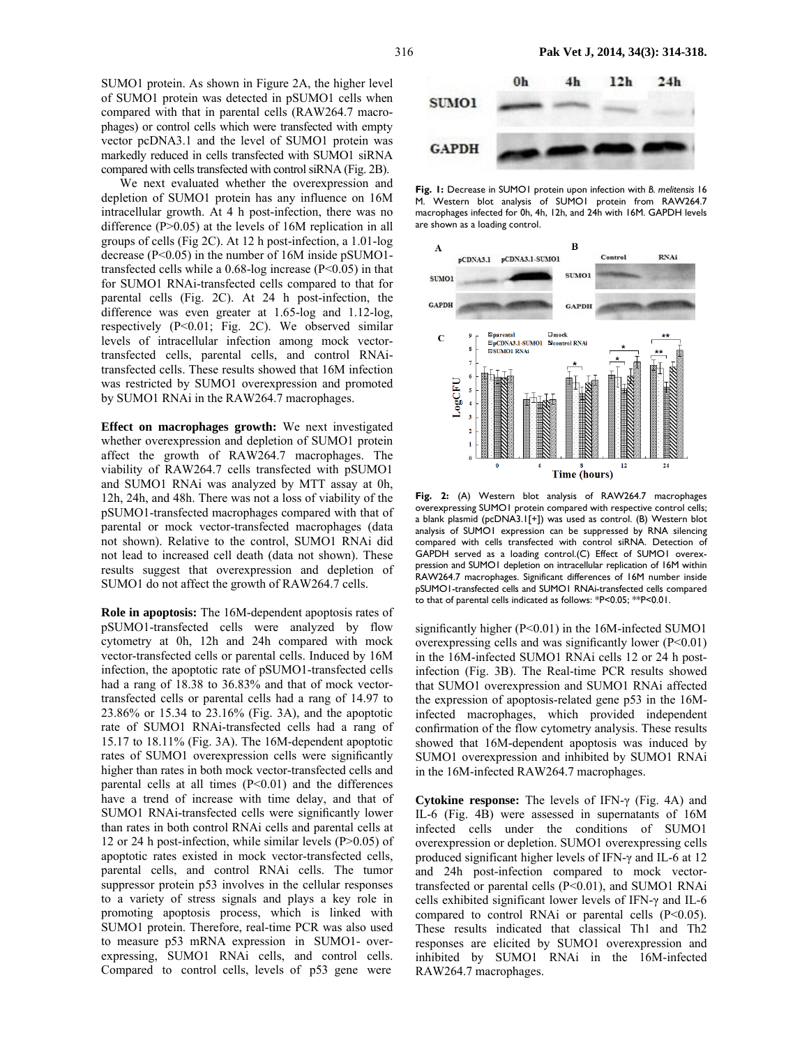SUMO1 protein. As shown in Figure 2A, the higher level of SUMO1 protein was detected in pSUMO1 cells when compared with that in parental cells (RAW264.7 macrophages) or control cells which were transfected with empty vector pcDNA3.1 and the level of SUMO1 protein was markedly reduced in cells transfected with SUMO1 siRNA compared with cells transfected with control siRNA (Fig. 2B).

We next evaluated whether the overexpression and depletion of SUMO1 protein has any influence on 16M intracellular growth. At 4 h post-infection, there was no difference (P>0.05) at the levels of 16M replication in all groups of cells (Fig 2C). At 12 h post-infection, a 1.01-log decrease (P<0.05) in the number of 16M inside pSUMO1 transfected cells while a 0.68-log increase (P<0.05) in that for SUMO1 RNAi-transfected cells compared to that for parental cells (Fig. 2C). At 24 h post-infection, the difference was even greater at 1.65-log and 1.12-log, respectively (P<0.01; Fig. 2C). We observed similar levels of intracellular infection among mock vectortransfected cells, parental cells, and control RNAitransfected cells. These results showed that 16M infection was restricted by SUMO1 overexpression and promoted by SUMO1 RNAi in the RAW264.7 macrophages.

**Effect on macrophages growth:** We next investigated whether overexpression and depletion of SUMO1 protein affect the growth of RAW264.7 macrophages. The viability of RAW264.7 cells transfected with pSUMO1 and SUMO1 RNAi was analyzed by MTT assay at 0h, 12h, 24h, and 48h. There was not a loss of viability of the pSUMO1-transfected macrophages compared with that of parental or mock vector-transfected macrophages (data not shown). Relative to the control, SUMO1 RNAi did not lead to increased cell death (data not shown). These results suggest that overexpression and depletion of SUMO1 do not affect the growth of RAW264.7 cells.

**Role in apoptosis:** The 16M-dependent apoptosis rates of pSUMO1-transfected cells were analyzed by flow cytometry at 0h, 12h and 24h compared with mock vector-transfected cells or parental cells. Induced by 16M infection, the apoptotic rate of pSUMO1-transfected cells had a rang of 18.38 to 36.83% and that of mock vectortransfected cells or parental cells had a rang of 14.97 to 23.86% or 15.34 to 23.16% (Fig. 3A), and the apoptotic rate of SUMO1 RNAi-transfected cells had a rang of 15.17 to 18.11% (Fig. 3A). The 16M-dependent apoptotic rates of SUMO1 overexpression cells were significantly higher than rates in both mock vector-transfected cells and parental cells at all times  $(P<0.01)$  and the differences have a trend of increase with time delay, and that of SUMO1 RNAi-transfected cells were significantly lower than rates in both control RNAi cells and parental cells at 12 or 24 h post-infection, while similar levels (P>0.05) of apoptotic rates existed in mock vector-transfected cells, parental cells, and control RNAi cells. The tumor suppressor protein p53 involves in the cellular responses to a variety of stress signals and plays a key role in promoting apoptosis process, which is linked with SUMO1 protein. Therefore, real-time PCR was also used to measure p53 mRNA expression in SUMO1- overexpressing, SUMO1 RNAi cells, and control cells. Compared to control cells, levels of p53 gene were



**Fig. 1:** Decrease in SUMO1 protein upon infection with *B. melitensis* 16 M. Western blot analysis of SUMO1 protein from RAW264.7 macrophages infected for 0h, 4h, 12h, and 24h with 16M. GAPDH levels are shown as a loading control.



**Fig. 2:** (A) Western blot analysis of RAW264.7 macrophages overexpressing SUMO1 protein compared with respective control cells; a blank plasmid (pcDNA3.1[+]) was used as control. (B) Western blot analysis of SUMO1 expression can be suppressed by RNA silencing compared with cells transfected with control siRNA. Detection of GAPDH served as a loading control.(C) Effect of SUMO1 overexpression and SUMO1 depletion on intracellular replication of 16M within RAW264.7 macrophages. Significant differences of 16M number inside pSUMO1-transfected cells and SUMO1 RNAi-transfected cells compared to that of parental cells indicated as follows: \*P<0.05; \*\*P<0.01.

significantly higher (P<0.01) in the 16M-infected SUMO1 overexpressing cells and was significantly lower  $(P<0.01)$ in the 16M-infected SUMO1 RNAi cells 12 or 24 h postinfection (Fig. 3B). The Real-time PCR results showed that SUMO1 overexpression and SUMO1 RNAi affected the expression of apoptosis-related gene p53 in the 16Minfected macrophages, which provided independent confirmation of the flow cytometry analysis. These results showed that 16M-dependent apoptosis was induced by SUMO1 overexpression and inhibited by SUMO1 RNAi in the 16M-infected RAW264.7 macrophages.

**Cytokine response:** The levels of IFN-γ (Fig. 4A) and IL-6 (Fig. 4B) were assessed in supernatants of 16M infected cells under the conditions of SUMO1 overexpression or depletion. SUMO1 overexpressing cells produced significant higher levels of IFN-γ and IL-6 at 12 and 24h post-infection compared to mock vectortransfected or parental cells (P<0.01), and SUMO1 RNAi cells exhibited significant lower levels of IFN-γ and IL-6 compared to control RNAi or parental cells (P<0.05). These results indicated that classical Th1 and Th2 responses are elicited by SUMO1 overexpression and inhibited by SUMO1 RNAi in the 16M-infected RAW264.7 macrophages.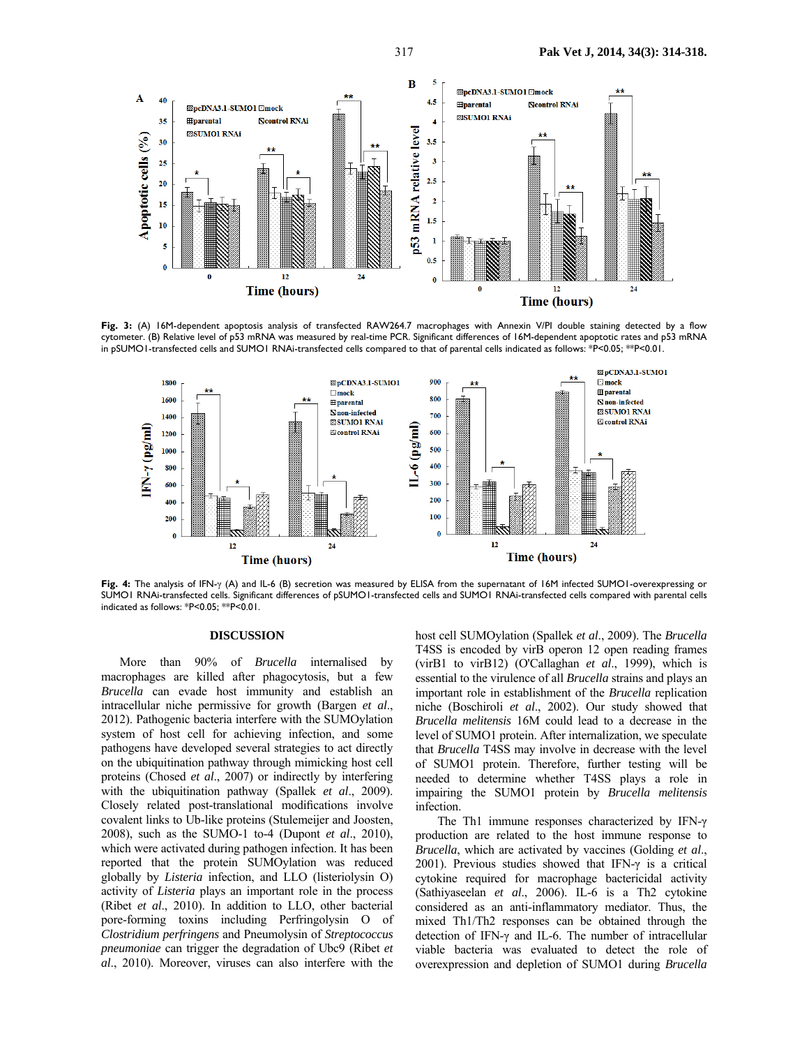

**Fig. 3:** (A) 16M-dependent apoptosis analysis of transfected RAW264.7 macrophages with Annexin V/PI double staining detected by a flow cytometer. (B) Relative level of p53 mRNA was measured by real-time PCR. Significant differences of 16M-dependent apoptotic rates and p53 mRNA in pSUMO1-transfected cells and SUMO1 RNAi-transfected cells compared to that of parental cells indicated as follows: \*P<0.05; \*\*P<0.01.



**Fig. 4:** The analysis of IFN-γ (A) and IL-6 (B) secretion was measured by ELISA from the supernatant of 16M infected SUMO1-overexpressing or SUMO1 RNAi-transfected cells. Significant differences of pSUMO1-transfected cells and SUMO1 RNAi-transfected cells compared with parental cells indicated as follows: \*P<0.05; \*\*P<0.01.

#### **DISCUSSION**

More than 90% of *Brucella* internalised by macrophages are killed after phagocytosis, but a few *Brucella* can evade host immunity and establish an intracellular niche permissive for growth (Bargen *et al*., 2012). Pathogenic bacteria interfere with the SUMOylation system of host cell for achieving infection, and some pathogens have developed several strategies to act directly on the ubiquitination pathway through mimicking host cell proteins (Chosed *et al*., 2007) or indirectly by interfering with the ubiquitination pathway (Spallek *et al*., 2009). Closely related post-translational modifications involve covalent links to Ub-like proteins (Stulemeijer and Joosten, 2008), such as the SUMO-1 to-4 (Dupont *et al*., 2010), which were activated during pathogen infection. It has been reported that the protein SUMOylation was reduced globally by *Listeria* infection, and LLO (listeriolysin O) activity of *Listeria* plays an important role in the process (Ribet *et al*., 2010). In addition to LLO, other bacterial pore-forming toxins including Perfringolysin O of *Clostridium perfringens* and Pneumolysin of *Streptococcus pneumoniae* can trigger the degradation of Ubc9 (Ribet *et al*., 2010). Moreover, viruses can also interfere with the

host cell SUMOylation (Spallek *et al*., 2009). The *Brucella* T4SS is encoded by virB operon 12 open reading frames (virB1 to virB12) (O'Callaghan *et al*., 1999), which is essential to the virulence of all *Brucella* strains and plays an important role in establishment of the *Brucella* replication niche (Boschiroli *et al*., 2002). Our study showed that *Brucella melitensis* 16M could lead to a decrease in the level of SUMO1 protein. After internalization, we speculate that *Brucella* T4SS may involve in decrease with the level of SUMO1 protein. Therefore, further testing will be needed to determine whether T4SS plays a role in impairing the SUMO1 protein by *Brucella melitensis*  infection.

The Th1 immune responses characterized by IFN-γ production are related to the host immune response to *Brucella*, which are activated by vaccines (Golding *et al*., 2001). Previous studies showed that IFN-γ is a critical cytokine required for macrophage bactericidal activity (Sathiyaseelan *et al*., 2006). IL-6 is a Th2 cytokine considered as an anti-inflammatory mediator. Thus, the mixed Th1/Th2 responses can be obtained through the detection of IFN-γ and IL-6. The number of intracellular viable bacteria was evaluated to detect the role of overexpression and depletion of SUMO1 during *Brucella*